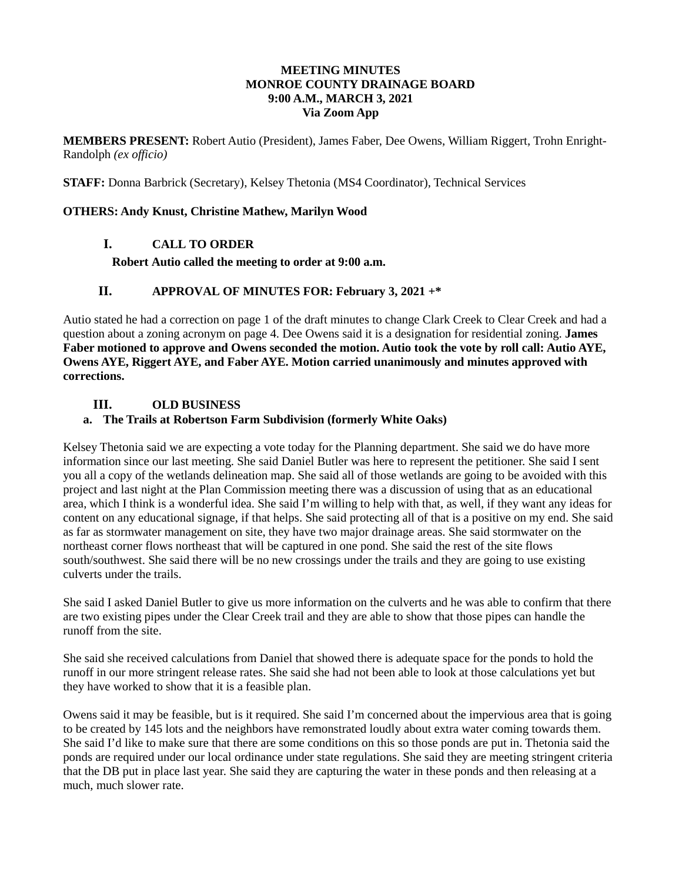### **MEETING MINUTES MONROE COUNTY DRAINAGE BOARD 9:00 A.M., MARCH 3, 2021 Via Zoom App**

**MEMBERS PRESENT:** Robert Autio (President), James Faber, Dee Owens, William Riggert, Trohn Enright-Randolph *(ex officio)*

**STAFF:** Donna Barbrick (Secretary), Kelsey Thetonia (MS4 Coordinator), Technical Services

#### **OTHERS: Andy Knust, Christine Mathew, Marilyn Wood**

#### **I. CALL TO ORDER**

**Robert Autio called the meeting to order at 9:00 a.m.** 

### **II. APPROVAL OF MINUTES FOR: February 3, 2021 +\***

Autio stated he had a correction on page 1 of the draft minutes to change Clark Creek to Clear Creek and had a question about a zoning acronym on page 4. Dee Owens said it is a designation for residential zoning. **James Faber motioned to approve and Owens seconded the motion. Autio took the vote by roll call: Autio AYE, Owens AYE, Riggert AYE, and Faber AYE. Motion carried unanimously and minutes approved with corrections.**

#### **III. OLD BUSINESS**

#### **a. The Trails at Robertson Farm Subdivision (formerly White Oaks)**

Kelsey Thetonia said we are expecting a vote today for the Planning department. She said we do have more information since our last meeting. She said Daniel Butler was here to represent the petitioner. She said I sent you all a copy of the wetlands delineation map. She said all of those wetlands are going to be avoided with this project and last night at the Plan Commission meeting there was a discussion of using that as an educational area, which I think is a wonderful idea. She said I'm willing to help with that, as well, if they want any ideas for content on any educational signage, if that helps. She said protecting all of that is a positive on my end. She said as far as stormwater management on site, they have two major drainage areas. She said stormwater on the northeast corner flows northeast that will be captured in one pond. She said the rest of the site flows south/southwest. She said there will be no new crossings under the trails and they are going to use existing culverts under the trails.

She said I asked Daniel Butler to give us more information on the culverts and he was able to confirm that there are two existing pipes under the Clear Creek trail and they are able to show that those pipes can handle the runoff from the site.

She said she received calculations from Daniel that showed there is adequate space for the ponds to hold the runoff in our more stringent release rates. She said she had not been able to look at those calculations yet but they have worked to show that it is a feasible plan.

Owens said it may be feasible, but is it required. She said I'm concerned about the impervious area that is going to be created by 145 lots and the neighbors have remonstrated loudly about extra water coming towards them. She said I'd like to make sure that there are some conditions on this so those ponds are put in. Thetonia said the ponds are required under our local ordinance under state regulations. She said they are meeting stringent criteria that the DB put in place last year. She said they are capturing the water in these ponds and then releasing at a much, much slower rate.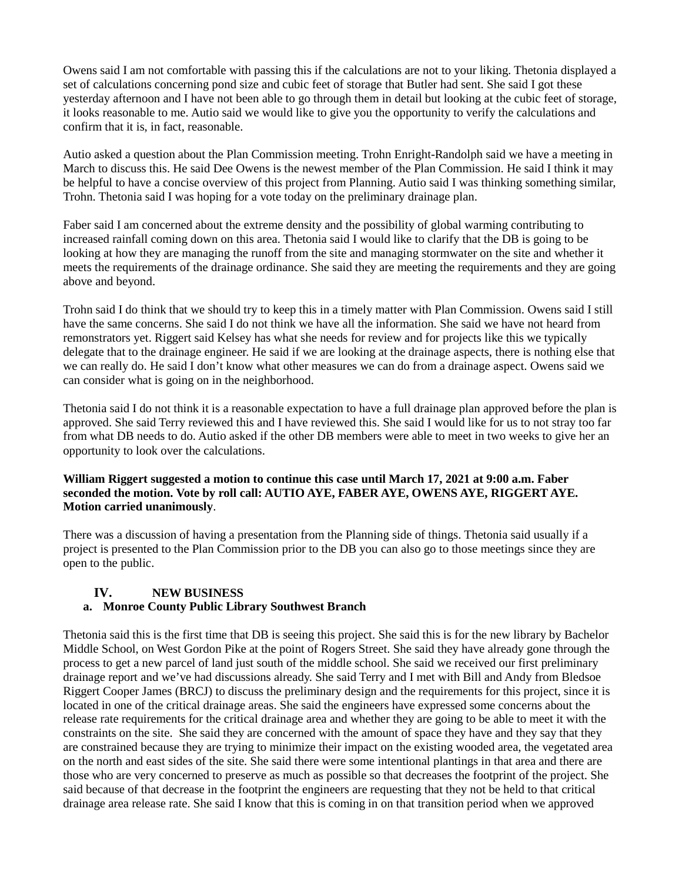Owens said I am not comfortable with passing this if the calculations are not to your liking. Thetonia displayed a set of calculations concerning pond size and cubic feet of storage that Butler had sent. She said I got these yesterday afternoon and I have not been able to go through them in detail but looking at the cubic feet of storage, it looks reasonable to me. Autio said we would like to give you the opportunity to verify the calculations and confirm that it is, in fact, reasonable.

Autio asked a question about the Plan Commission meeting. Trohn Enright-Randolph said we have a meeting in March to discuss this. He said Dee Owens is the newest member of the Plan Commission. He said I think it may be helpful to have a concise overview of this project from Planning. Autio said I was thinking something similar, Trohn. Thetonia said I was hoping for a vote today on the preliminary drainage plan.

Faber said I am concerned about the extreme density and the possibility of global warming contributing to increased rainfall coming down on this area. Thetonia said I would like to clarify that the DB is going to be looking at how they are managing the runoff from the site and managing stormwater on the site and whether it meets the requirements of the drainage ordinance. She said they are meeting the requirements and they are going above and beyond.

Trohn said I do think that we should try to keep this in a timely matter with Plan Commission. Owens said I still have the same concerns. She said I do not think we have all the information. She said we have not heard from remonstrators yet. Riggert said Kelsey has what she needs for review and for projects like this we typically delegate that to the drainage engineer. He said if we are looking at the drainage aspects, there is nothing else that we can really do. He said I don't know what other measures we can do from a drainage aspect. Owens said we can consider what is going on in the neighborhood.

Thetonia said I do not think it is a reasonable expectation to have a full drainage plan approved before the plan is approved. She said Terry reviewed this and I have reviewed this. She said I would like for us to not stray too far from what DB needs to do. Autio asked if the other DB members were able to meet in two weeks to give her an opportunity to look over the calculations.

### **William Riggert suggested a motion to continue this case until March 17, 2021 at 9:00 a.m. Faber seconded the motion. Vote by roll call: AUTIO AYE, FABER AYE, OWENS AYE, RIGGERT AYE. Motion carried unanimously**.

There was a discussion of having a presentation from the Planning side of things. Thetonia said usually if a project is presented to the Plan Commission prior to the DB you can also go to those meetings since they are open to the public.

### **IV. NEW BUSINESS**

### **a. Monroe County Public Library Southwest Branch**

Thetonia said this is the first time that DB is seeing this project. She said this is for the new library by Bachelor Middle School, on West Gordon Pike at the point of Rogers Street. She said they have already gone through the process to get a new parcel of land just south of the middle school. She said we received our first preliminary drainage report and we've had discussions already. She said Terry and I met with Bill and Andy from Bledsoe Riggert Cooper James (BRCJ) to discuss the preliminary design and the requirements for this project, since it is located in one of the critical drainage areas. She said the engineers have expressed some concerns about the release rate requirements for the critical drainage area and whether they are going to be able to meet it with the constraints on the site. She said they are concerned with the amount of space they have and they say that they are constrained because they are trying to minimize their impact on the existing wooded area, the vegetated area on the north and east sides of the site. She said there were some intentional plantings in that area and there are those who are very concerned to preserve as much as possible so that decreases the footprint of the project. She said because of that decrease in the footprint the engineers are requesting that they not be held to that critical drainage area release rate. She said I know that this is coming in on that transition period when we approved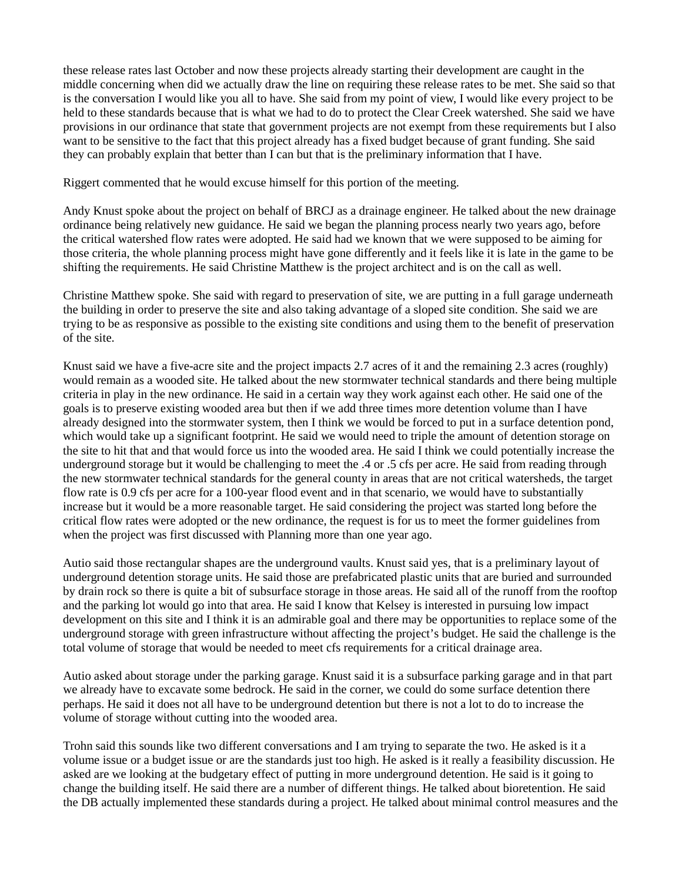these release rates last October and now these projects already starting their development are caught in the middle concerning when did we actually draw the line on requiring these release rates to be met. She said so that is the conversation I would like you all to have. She said from my point of view, I would like every project to be held to these standards because that is what we had to do to protect the Clear Creek watershed. She said we have provisions in our ordinance that state that government projects are not exempt from these requirements but I also want to be sensitive to the fact that this project already has a fixed budget because of grant funding. She said they can probably explain that better than I can but that is the preliminary information that I have.

Riggert commented that he would excuse himself for this portion of the meeting.

Andy Knust spoke about the project on behalf of BRCJ as a drainage engineer. He talked about the new drainage ordinance being relatively new guidance. He said we began the planning process nearly two years ago, before the critical watershed flow rates were adopted. He said had we known that we were supposed to be aiming for those criteria, the whole planning process might have gone differently and it feels like it is late in the game to be shifting the requirements. He said Christine Matthew is the project architect and is on the call as well.

Christine Matthew spoke. She said with regard to preservation of site, we are putting in a full garage underneath the building in order to preserve the site and also taking advantage of a sloped site condition. She said we are trying to be as responsive as possible to the existing site conditions and using them to the benefit of preservation of the site.

Knust said we have a five-acre site and the project impacts 2.7 acres of it and the remaining 2.3 acres (roughly) would remain as a wooded site. He talked about the new stormwater technical standards and there being multiple criteria in play in the new ordinance. He said in a certain way they work against each other. He said one of the goals is to preserve existing wooded area but then if we add three times more detention volume than I have already designed into the stormwater system, then I think we would be forced to put in a surface detention pond, which would take up a significant footprint. He said we would need to triple the amount of detention storage on the site to hit that and that would force us into the wooded area. He said I think we could potentially increase the underground storage but it would be challenging to meet the .4 or .5 cfs per acre. He said from reading through the new stormwater technical standards for the general county in areas that are not critical watersheds, the target flow rate is 0.9 cfs per acre for a 100-year flood event and in that scenario, we would have to substantially increase but it would be a more reasonable target. He said considering the project was started long before the critical flow rates were adopted or the new ordinance, the request is for us to meet the former guidelines from when the project was first discussed with Planning more than one year ago.

Autio said those rectangular shapes are the underground vaults. Knust said yes, that is a preliminary layout of underground detention storage units. He said those are prefabricated plastic units that are buried and surrounded by drain rock so there is quite a bit of subsurface storage in those areas. He said all of the runoff from the rooftop and the parking lot would go into that area. He said I know that Kelsey is interested in pursuing low impact development on this site and I think it is an admirable goal and there may be opportunities to replace some of the underground storage with green infrastructure without affecting the project's budget. He said the challenge is the total volume of storage that would be needed to meet cfs requirements for a critical drainage area.

Autio asked about storage under the parking garage. Knust said it is a subsurface parking garage and in that part we already have to excavate some bedrock. He said in the corner, we could do some surface detention there perhaps. He said it does not all have to be underground detention but there is not a lot to do to increase the volume of storage without cutting into the wooded area.

Trohn said this sounds like two different conversations and I am trying to separate the two. He asked is it a volume issue or a budget issue or are the standards just too high. He asked is it really a feasibility discussion. He asked are we looking at the budgetary effect of putting in more underground detention. He said is it going to change the building itself. He said there are a number of different things. He talked about bioretention. He said the DB actually implemented these standards during a project. He talked about minimal control measures and the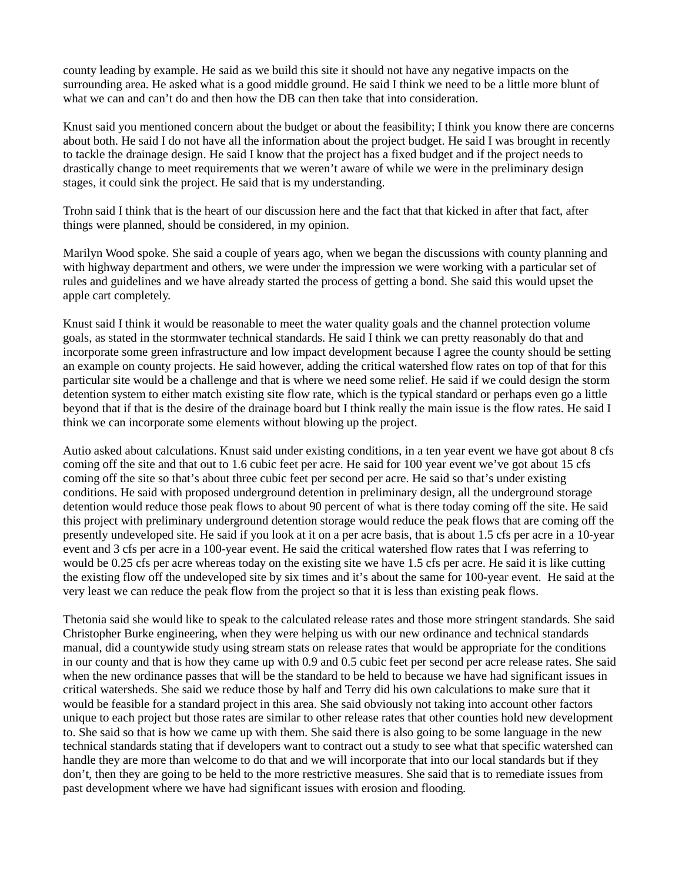county leading by example. He said as we build this site it should not have any negative impacts on the surrounding area. He asked what is a good middle ground. He said I think we need to be a little more blunt of what we can and can't do and then how the DB can then take that into consideration.

Knust said you mentioned concern about the budget or about the feasibility; I think you know there are concerns about both. He said I do not have all the information about the project budget. He said I was brought in recently to tackle the drainage design. He said I know that the project has a fixed budget and if the project needs to drastically change to meet requirements that we weren't aware of while we were in the preliminary design stages, it could sink the project. He said that is my understanding.

Trohn said I think that is the heart of our discussion here and the fact that that kicked in after that fact, after things were planned, should be considered, in my opinion.

Marilyn Wood spoke. She said a couple of years ago, when we began the discussions with county planning and with highway department and others, we were under the impression we were working with a particular set of rules and guidelines and we have already started the process of getting a bond. She said this would upset the apple cart completely.

Knust said I think it would be reasonable to meet the water quality goals and the channel protection volume goals, as stated in the stormwater technical standards. He said I think we can pretty reasonably do that and incorporate some green infrastructure and low impact development because I agree the county should be setting an example on county projects. He said however, adding the critical watershed flow rates on top of that for this particular site would be a challenge and that is where we need some relief. He said if we could design the storm detention system to either match existing site flow rate, which is the typical standard or perhaps even go a little beyond that if that is the desire of the drainage board but I think really the main issue is the flow rates. He said I think we can incorporate some elements without blowing up the project.

Autio asked about calculations. Knust said under existing conditions, in a ten year event we have got about 8 cfs coming off the site and that out to 1.6 cubic feet per acre. He said for 100 year event we've got about 15 cfs coming off the site so that's about three cubic feet per second per acre. He said so that's under existing conditions. He said with proposed underground detention in preliminary design, all the underground storage detention would reduce those peak flows to about 90 percent of what is there today coming off the site. He said this project with preliminary underground detention storage would reduce the peak flows that are coming off the presently undeveloped site. He said if you look at it on a per acre basis, that is about 1.5 cfs per acre in a 10-year event and 3 cfs per acre in a 100-year event. He said the critical watershed flow rates that I was referring to would be 0.25 cfs per acre whereas today on the existing site we have 1.5 cfs per acre. He said it is like cutting the existing flow off the undeveloped site by six times and it's about the same for 100-year event. He said at the very least we can reduce the peak flow from the project so that it is less than existing peak flows.

Thetonia said she would like to speak to the calculated release rates and those more stringent standards. She said Christopher Burke engineering, when they were helping us with our new ordinance and technical standards manual, did a countywide study using stream stats on release rates that would be appropriate for the conditions in our county and that is how they came up with 0.9 and 0.5 cubic feet per second per acre release rates. She said when the new ordinance passes that will be the standard to be held to because we have had significant issues in critical watersheds. She said we reduce those by half and Terry did his own calculations to make sure that it would be feasible for a standard project in this area. She said obviously not taking into account other factors unique to each project but those rates are similar to other release rates that other counties hold new development to. She said so that is how we came up with them. She said there is also going to be some language in the new technical standards stating that if developers want to contract out a study to see what that specific watershed can handle they are more than welcome to do that and we will incorporate that into our local standards but if they don't, then they are going to be held to the more restrictive measures. She said that is to remediate issues from past development where we have had significant issues with erosion and flooding.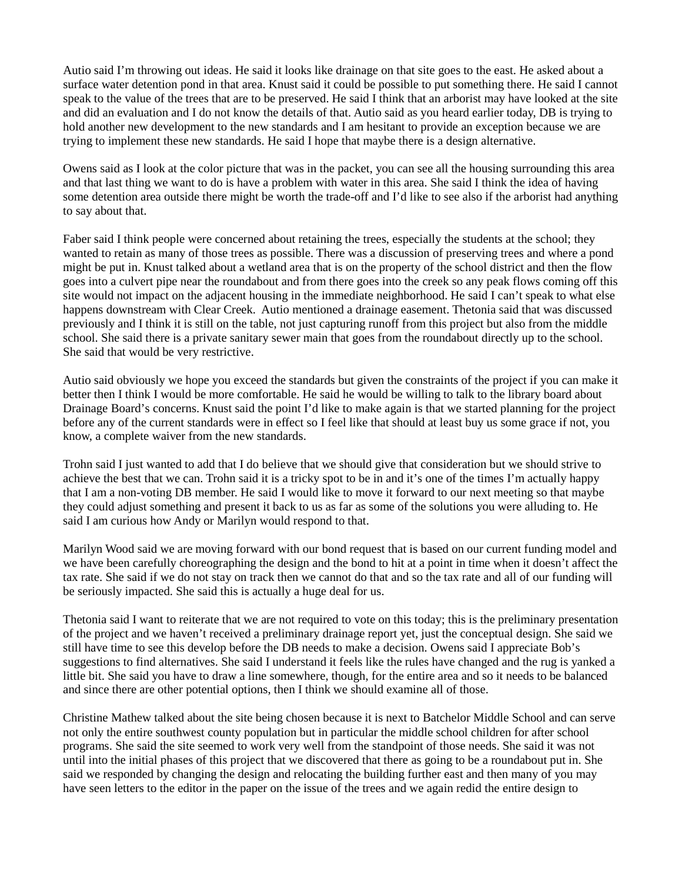Autio said I'm throwing out ideas. He said it looks like drainage on that site goes to the east. He asked about a surface water detention pond in that area. Knust said it could be possible to put something there. He said I cannot speak to the value of the trees that are to be preserved. He said I think that an arborist may have looked at the site and did an evaluation and I do not know the details of that. Autio said as you heard earlier today, DB is trying to hold another new development to the new standards and I am hesitant to provide an exception because we are trying to implement these new standards. He said I hope that maybe there is a design alternative.

Owens said as I look at the color picture that was in the packet, you can see all the housing surrounding this area and that last thing we want to do is have a problem with water in this area. She said I think the idea of having some detention area outside there might be worth the trade-off and I'd like to see also if the arborist had anything to say about that.

Faber said I think people were concerned about retaining the trees, especially the students at the school; they wanted to retain as many of those trees as possible. There was a discussion of preserving trees and where a pond might be put in. Knust talked about a wetland area that is on the property of the school district and then the flow goes into a culvert pipe near the roundabout and from there goes into the creek so any peak flows coming off this site would not impact on the adjacent housing in the immediate neighborhood. He said I can't speak to what else happens downstream with Clear Creek. Autio mentioned a drainage easement. Thetonia said that was discussed previously and I think it is still on the table, not just capturing runoff from this project but also from the middle school. She said there is a private sanitary sewer main that goes from the roundabout directly up to the school. She said that would be very restrictive.

Autio said obviously we hope you exceed the standards but given the constraints of the project if you can make it better then I think I would be more comfortable. He said he would be willing to talk to the library board about Drainage Board's concerns. Knust said the point I'd like to make again is that we started planning for the project before any of the current standards were in effect so I feel like that should at least buy us some grace if not, you know, a complete waiver from the new standards.

Trohn said I just wanted to add that I do believe that we should give that consideration but we should strive to achieve the best that we can. Trohn said it is a tricky spot to be in and it's one of the times I'm actually happy that I am a non-voting DB member. He said I would like to move it forward to our next meeting so that maybe they could adjust something and present it back to us as far as some of the solutions you were alluding to. He said I am curious how Andy or Marilyn would respond to that.

Marilyn Wood said we are moving forward with our bond request that is based on our current funding model and we have been carefully choreographing the design and the bond to hit at a point in time when it doesn't affect the tax rate. She said if we do not stay on track then we cannot do that and so the tax rate and all of our funding will be seriously impacted. She said this is actually a huge deal for us.

Thetonia said I want to reiterate that we are not required to vote on this today; this is the preliminary presentation of the project and we haven't received a preliminary drainage report yet, just the conceptual design. She said we still have time to see this develop before the DB needs to make a decision. Owens said I appreciate Bob's suggestions to find alternatives. She said I understand it feels like the rules have changed and the rug is yanked a little bit. She said you have to draw a line somewhere, though, for the entire area and so it needs to be balanced and since there are other potential options, then I think we should examine all of those.

Christine Mathew talked about the site being chosen because it is next to Batchelor Middle School and can serve not only the entire southwest county population but in particular the middle school children for after school programs. She said the site seemed to work very well from the standpoint of those needs. She said it was not until into the initial phases of this project that we discovered that there as going to be a roundabout put in. She said we responded by changing the design and relocating the building further east and then many of you may have seen letters to the editor in the paper on the issue of the trees and we again redid the entire design to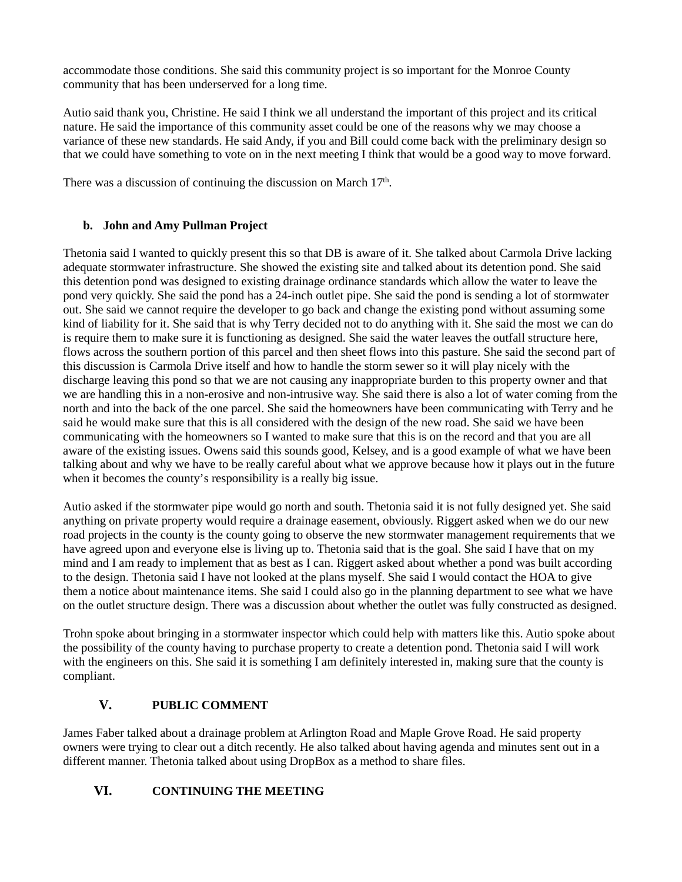accommodate those conditions. She said this community project is so important for the Monroe County community that has been underserved for a long time.

Autio said thank you, Christine. He said I think we all understand the important of this project and its critical nature. He said the importance of this community asset could be one of the reasons why we may choose a variance of these new standards. He said Andy, if you and Bill could come back with the preliminary design so that we could have something to vote on in the next meeting I think that would be a good way to move forward.

There was a discussion of continuing the discussion on March  $17<sup>th</sup>$ .

### **b. John and Amy Pullman Project**

Thetonia said I wanted to quickly present this so that DB is aware of it. She talked about Carmola Drive lacking adequate stormwater infrastructure. She showed the existing site and talked about its detention pond. She said this detention pond was designed to existing drainage ordinance standards which allow the water to leave the pond very quickly. She said the pond has a 24-inch outlet pipe. She said the pond is sending a lot of stormwater out. She said we cannot require the developer to go back and change the existing pond without assuming some kind of liability for it. She said that is why Terry decided not to do anything with it. She said the most we can do is require them to make sure it is functioning as designed. She said the water leaves the outfall structure here, flows across the southern portion of this parcel and then sheet flows into this pasture. She said the second part of this discussion is Carmola Drive itself and how to handle the storm sewer so it will play nicely with the discharge leaving this pond so that we are not causing any inappropriate burden to this property owner and that we are handling this in a non-erosive and non-intrusive way. She said there is also a lot of water coming from the north and into the back of the one parcel. She said the homeowners have been communicating with Terry and he said he would make sure that this is all considered with the design of the new road. She said we have been communicating with the homeowners so I wanted to make sure that this is on the record and that you are all aware of the existing issues. Owens said this sounds good, Kelsey, and is a good example of what we have been talking about and why we have to be really careful about what we approve because how it plays out in the future when it becomes the county's responsibility is a really big issue.

Autio asked if the stormwater pipe would go north and south. Thetonia said it is not fully designed yet. She said anything on private property would require a drainage easement, obviously. Riggert asked when we do our new road projects in the county is the county going to observe the new stormwater management requirements that we have agreed upon and everyone else is living up to. Thetonia said that is the goal. She said I have that on my mind and I am ready to implement that as best as I can. Riggert asked about whether a pond was built according to the design. Thetonia said I have not looked at the plans myself. She said I would contact the HOA to give them a notice about maintenance items. She said I could also go in the planning department to see what we have on the outlet structure design. There was a discussion about whether the outlet was fully constructed as designed.

Trohn spoke about bringing in a stormwater inspector which could help with matters like this. Autio spoke about the possibility of the county having to purchase property to create a detention pond. Thetonia said I will work with the engineers on this. She said it is something I am definitely interested in, making sure that the county is compliant.

## **V. PUBLIC COMMENT**

James Faber talked about a drainage problem at Arlington Road and Maple Grove Road. He said property owners were trying to clear out a ditch recently. He also talked about having agenda and minutes sent out in a different manner. Thetonia talked about using DropBox as a method to share files.

# **VI. CONTINUING THE MEETING**